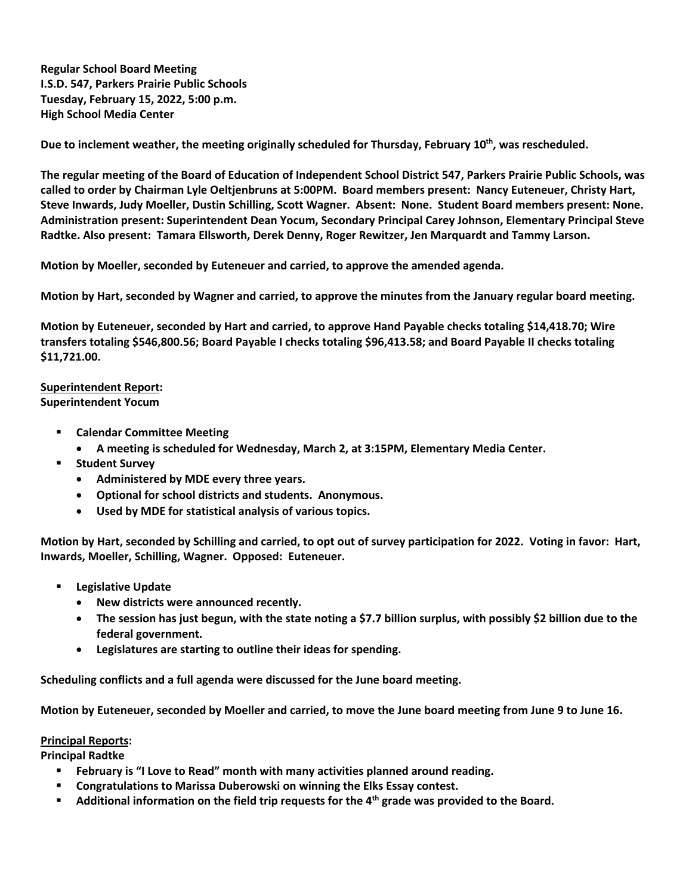**Regular School Board Meeting I.S.D. 547, Parkers Prairie Public Schools Tuesday, February 15, 2022, 5:00 p.m. High School Media Center**

**Due to inclement weather, the meeting originally scheduled for Thursday, February 10th, was rescheduled.** 

**The regular meeting of the Board of Education of Independent School District 547, Parkers Prairie Public Schools, was called to order by Chairman Lyle Oeltjenbruns at 5:00PM. Board members present: Nancy Euteneuer, Christy Hart, Steve Inwards, Judy Moeller, Dustin Schilling, Scott Wagner. Absent: None. Student Board members present: None. Administration present: Superintendent Dean Yocum, Secondary Principal Carey Johnson, Elementary Principal Steve Radtke. Also present: Tamara Ellsworth, Derek Denny, Roger Rewitzer, Jen Marquardt and Tammy Larson.**

**Motion by Moeller, seconded by Euteneuer and carried, to approve the amended agenda.**

**Motion by Hart, seconded by Wagner and carried, to approve the minutes from the January regular board meeting.**

**Motion by Euteneuer, seconded by Hart and carried, to approve Hand Payable checks totaling \$14,418.70; Wire transfers totaling \$546,800.56; Board Payable I checks totaling \$96,413.58; and Board Payable II checks totaling \$11,721.00.** 

## **Superintendent Report:**

**Superintendent Yocum**

- § **Calendar Committee Meeting**
	- **A meeting is scheduled for Wednesday, March 2, at 3:15PM, Elementary Media Center.**
- § **Student Survey**
	- **Administered by MDE every three years.**
	- **Optional for school districts and students. Anonymous.**
	- **Used by MDE for statistical analysis of various topics.**

**Motion by Hart, seconded by Schilling and carried, to opt out of survey participation for 2022. Voting in favor: Hart, Inwards, Moeller, Schilling, Wagner. Opposed: Euteneuer.**

- § **Legislative Update**
	- **New districts were announced recently.**
	- **The session has just begun, with the state noting a \$7.7 billion surplus, with possibly \$2 billion due to the federal government.**
	- **Legislatures are starting to outline their ideas for spending.**

**Scheduling conflicts and a full agenda were discussed for the June board meeting.**

**Motion by Euteneuer, seconded by Moeller and carried, to move the June board meeting from June 9 to June 16.**

## **Principal Reports:**

**Principal Radtke**

- § **February is "I Love to Read" month with many activities planned around reading.**
- § **Congratulations to Marissa Duberowski on winning the Elks Essay contest.**
- § **Additional information on the field trip requests for the 4th grade was provided to the Board.**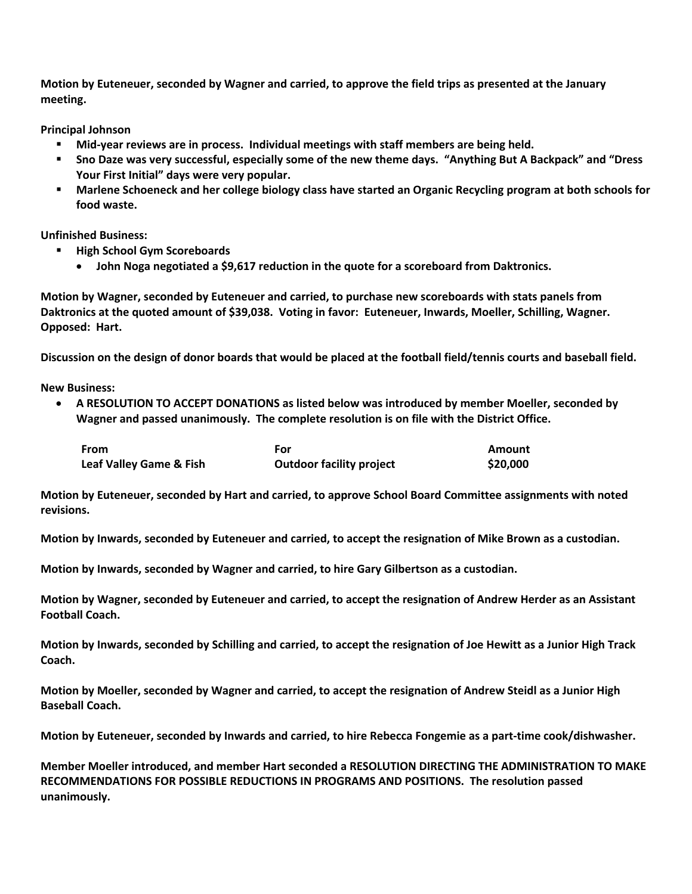**Motion by Euteneuer, seconded by Wagner and carried, to approve the field trips as presented at the January meeting.** 

**Principal Johnson**

- § **Mid-year reviews are in process. Individual meetings with staff members are being held.**
- § **Sno Daze was very successful, especially some of the new theme days. "Anything But A Backpack" and "Dress Your First Initial" days were very popular.**
- § **Marlene Schoeneck and her college biology class have started an Organic Recycling program at both schools for food waste.**

**Unfinished Business:**

- § **High School Gym Scoreboards**
	- **John Noga negotiated a \$9,617 reduction in the quote for a scoreboard from Daktronics.**

**Motion by Wagner, seconded by Euteneuer and carried, to purchase new scoreboards with stats panels from Daktronics at the quoted amount of \$39,038. Voting in favor: Euteneuer, Inwards, Moeller, Schilling, Wagner. Opposed: Hart.**

**Discussion on the design of donor boards that would be placed at the football field/tennis courts and baseball field.**

**New Business:**

• **A RESOLUTION TO ACCEPT DONATIONS as listed below was introduced by member Moeller, seconded by Wagner and passed unanimously. The complete resolution is on file with the District Office.** 

| From                               | For                             | Amount   |
|------------------------------------|---------------------------------|----------|
| <b>Leaf Valley Game &amp; Fish</b> | <b>Outdoor facility project</b> | \$20,000 |

**Motion by Euteneuer, seconded by Hart and carried, to approve School Board Committee assignments with noted revisions.**

**Motion by Inwards, seconded by Euteneuer and carried, to accept the resignation of Mike Brown as a custodian.**

**Motion by Inwards, seconded by Wagner and carried, to hire Gary Gilbertson as a custodian.**

**Motion by Wagner, seconded by Euteneuer and carried, to accept the resignation of Andrew Herder as an Assistant Football Coach.**

**Motion by Inwards, seconded by Schilling and carried, to accept the resignation of Joe Hewitt as a Junior High Track Coach.**

**Motion by Moeller, seconded by Wagner and carried, to accept the resignation of Andrew Steidl as a Junior High Baseball Coach.**

**Motion by Euteneuer, seconded by Inwards and carried, to hire Rebecca Fongemie as a part-time cook/dishwasher.**

**Member Moeller introduced, and member Hart seconded a RESOLUTION DIRECTING THE ADMINISTRATION TO MAKE RECOMMENDATIONS FOR POSSIBLE REDUCTIONS IN PROGRAMS AND POSITIONS. The resolution passed unanimously.**